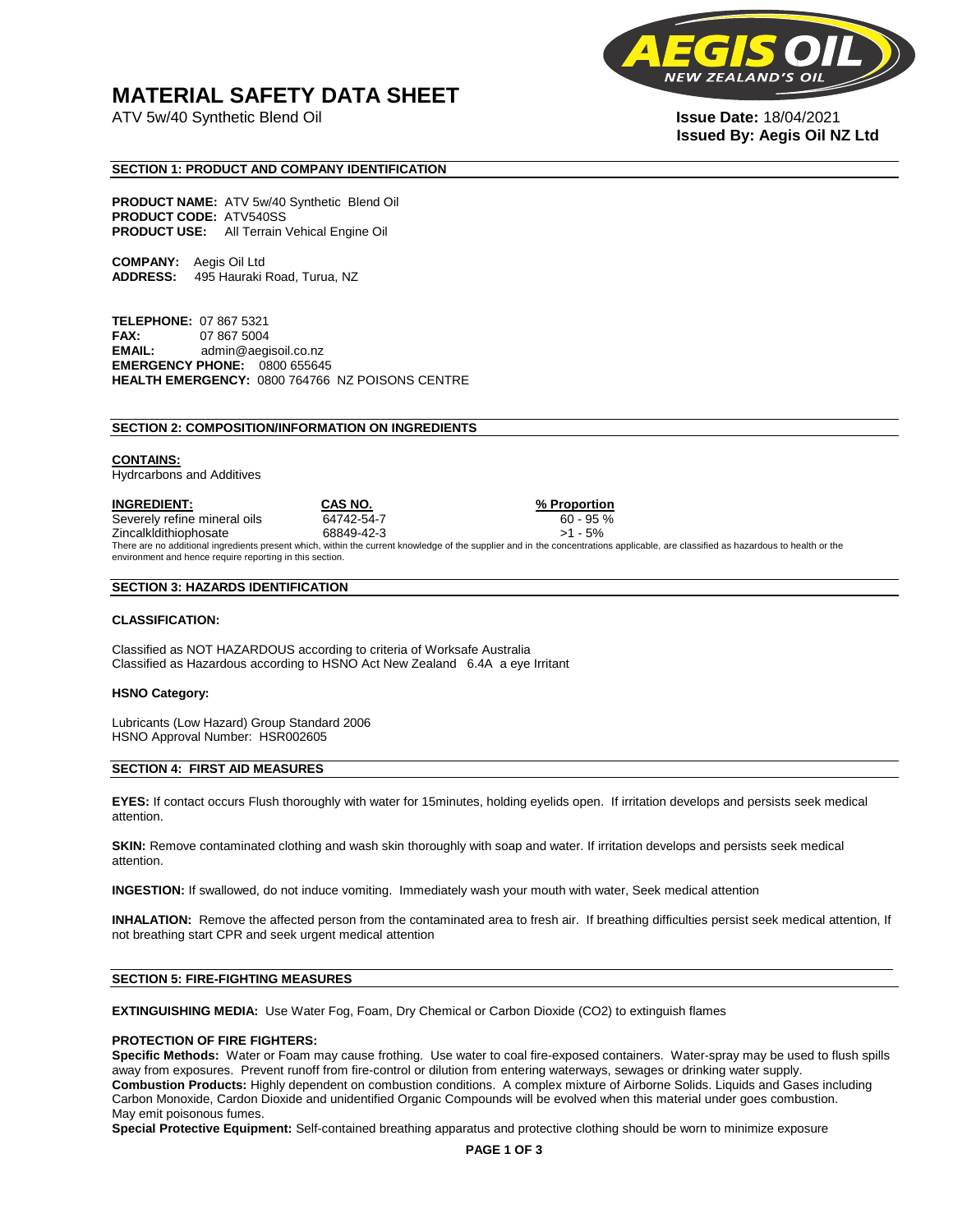## **MATERIAL SAFETY DATA SHEET**

ATV 5w/40 Synthetic Blend Oil **Issue Date:** 18/04/2021



# **Issued By: Aegis Oil NZ Ltd**

#### **SECTION 1: PRODUCT AND COMPANY IDENTIFICATION**

**PRODUCT NAME:** ATV 5w/40 Synthetic Blend Oil **PRODUCT CODE:** ATV540SS **PRODUCT USE:** All Terrain Vehical Engine Oil

**COMPANY:** Aegis Oil Ltd **ADDRESS:** 495 Hauraki Road, Turua, NZ

**TELEPHONE:** 07 867 5321 **FAX:** 07 867 5004 **EMAIL:** admin@aegisoil.co.nz **EMERGENCY PHONE:** 0800 655645 **HEALTH EMERGENCY:** 0800 764766 NZ POISONS CENTRE

#### **SECTION 2: COMPOSITION/INFORMATION ON INGREDIENTS**

#### **CONTAINS:**

Hydrcarbons and Additives

**INGREDIENT: CAS NO. % Proportion**  Severely refine mineral oils 64742-54-7 60 - 95 % Zincalkldithiophosate 68849-42-3 >1 - 5% There are no additional ingredients present which, within the current knowledge of the supplier and in the concentrations applicable, are classified as hazardous to health or the environment and hence require reporting in this section.

#### **SECTION 3: HAZARDS IDENTIFICATION**

#### **CLASSIFICATION:**

Classified as NOT HAZARDOUS according to criteria of Worksafe Australia Classified as Hazardous according to HSNO Act New Zealand 6.4A a eye Irritant

#### **HSNO Category:**

Lubricants (Low Hazard) Group Standard 2006 HSNO Approval Number: HSR002605

#### **SECTION 4: FIRST AID MEASURES**

**EYES:** If contact occurs Flush thoroughly with water for 15minutes, holding eyelids open. If irritation develops and persists seek medical attention.

**SKIN:** Remove contaminated clothing and wash skin thoroughly with soap and water. If irritation develops and persists seek medical attention.

**INGESTION:** If swallowed, do not induce vomiting. Immediately wash your mouth with water, Seek medical attention

**INHALATION:** Remove the affected person from the contaminated area to fresh air. If breathing difficulties persist seek medical attention, If not breathing start CPR and seek urgent medical attention

#### **SECTION 5: FIRE-FIGHTING MEASURES**

**EXTINGUISHING MEDIA:** Use Water Fog, Foam, Dry Chemical or Carbon Dioxide (CO2) to extinguish flames

#### **PROTECTION OF FIRE FIGHTERS:**

**Specific Methods:** Water or Foam may cause frothing. Use water to coal fire-exposed containers. Water-spray may be used to flush spills away from exposures. Prevent runoff from fire-control or dilution from entering waterways, sewages or drinking water supply. **Combustion Products:** Highly dependent on combustion conditions. A complex mixture of Airborne Solids. Liquids and Gases including Carbon Monoxide, Cardon Dioxide and unidentified Organic Compounds will be evolved when this material under goes combustion. May emit poisonous fumes.

**Special Protective Equipment:** Self-contained breathing apparatus and protective clothing should be worn to minimize exposure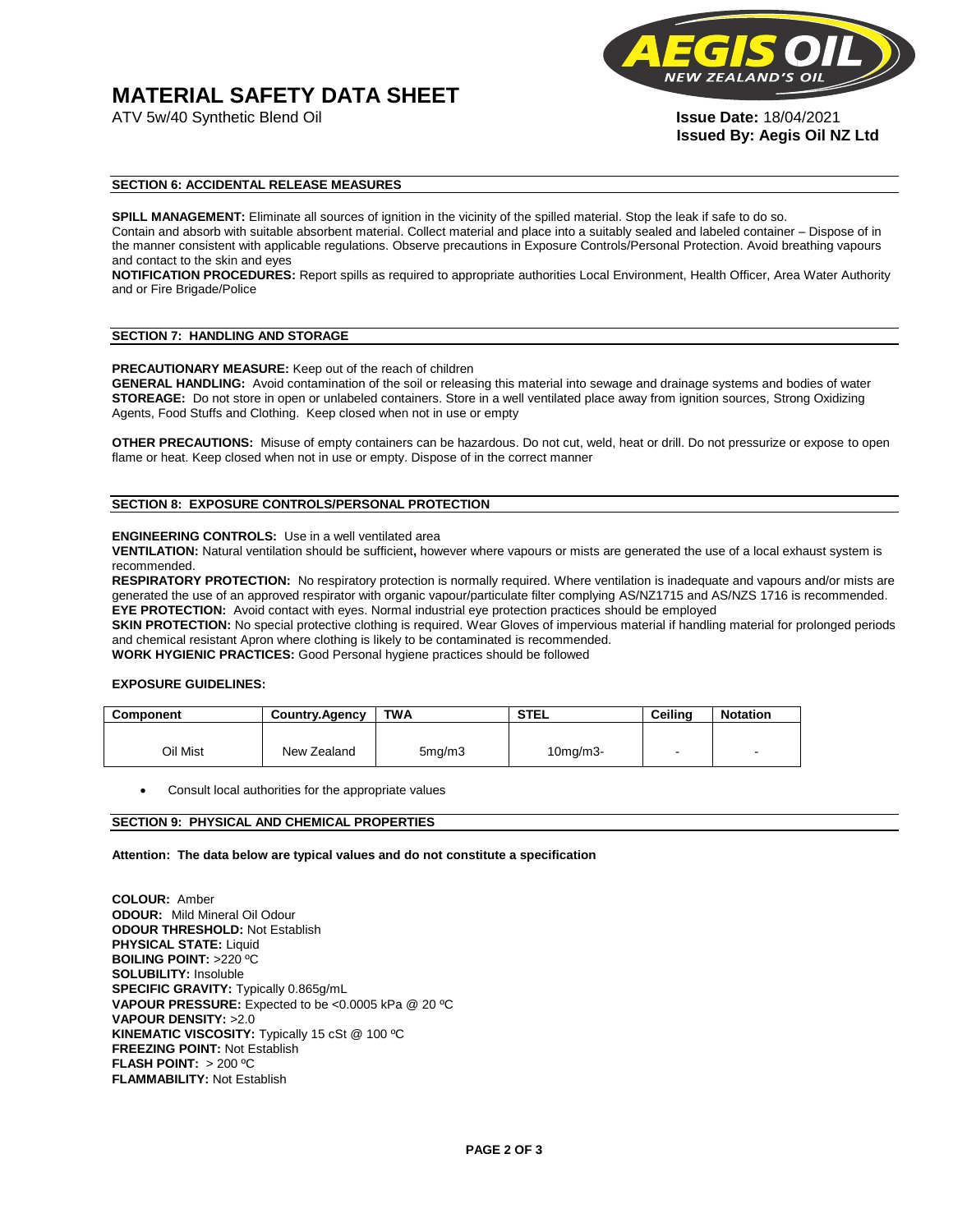# **MATERIAL SAFETY DATA SHEET**



**Issued By: Aegis Oil NZ Ltd** 

#### **SECTION 6: ACCIDENTAL RELEASE MEASURES**

**SPILL MANAGEMENT:** Eliminate all sources of ignition in the vicinity of the spilled material. Stop the leak if safe to do so. Contain and absorb with suitable absorbent material. Collect material and place into a suitably sealed and labeled container – Dispose of in the manner consistent with applicable regulations. Observe precautions in Exposure Controls/Personal Protection. Avoid breathing vapours and contact to the skin and eyes

**NOTIFICATION PROCEDURES:** Report spills as required to appropriate authorities Local Environment, Health Officer, Area Water Authority and or Fire Brigade/Police

#### **SECTION 7: HANDLING AND STORAGE**

**PRECAUTIONARY MEASURE:** Keep out of the reach of children

**GENERAL HANDLING:** Avoid contamination of the soil or releasing this material into sewage and drainage systems and bodies of water **STOREAGE:** Do not store in open or unlabeled containers. Store in a well ventilated place away from ignition sources, Strong Oxidizing Agents, Food Stuffs and Clothing. Keep closed when not in use or empty

**OTHER PRECAUTIONS:** Misuse of empty containers can be hazardous. Do not cut, weld, heat or drill. Do not pressurize or expose to open flame or heat. Keep closed when not in use or empty. Dispose of in the correct manner

### **SECTION 8: EXPOSURE CONTROLS/PERSONAL PROTECTION**

#### **ENGINEERING CONTROLS:** Use in a well ventilated area

**VENTILATION:** Natural ventilation should be sufficient**,** however where vapours or mists are generated the use of a local exhaust system is recommended.

**RESPIRATORY PROTECTION:** No respiratory protection is normally required. Where ventilation is inadequate and vapours and/or mists are generated the use of an approved respirator with organic vapour/particulate filter complying AS/NZ1715 and AS/NZS 1716 is recommended. **EYE PROTECTION:** Avoid contact with eyes. Normal industrial eye protection practices should be employed

**SKIN PROTECTION:** No special protective clothing is required. Wear Gloves of impervious material if handling material for prolonged periods and chemical resistant Apron where clothing is likely to be contaminated is recommended.

**WORK HYGIENIC PRACTICES:** Good Personal hygiene practices should be followed

#### **EXPOSURE GUIDELINES:**

| <b>Component</b> | <b>Country.Agency</b> | <b>TWA</b>          | <b>STEL</b>    | Ceilina | <b>Notation</b>          |
|------------------|-----------------------|---------------------|----------------|---------|--------------------------|
|                  |                       |                     |                |         |                          |
| Oil Mist         | New Zealand           | 5 <sub>mq</sub> /m3 | $10$ mg/m $3-$ |         | $\overline{\phantom{a}}$ |

Consult local authorities for the appropriate values

#### **SECTION 9: PHYSICAL AND CHEMICAL PROPERTIES**

**Attention: The data below are typical values and do not constitute a specification** 

**COLOUR:** Amber **ODOUR:** Mild Mineral Oil Odour **ODOUR THRESHOLD:** Not Establish **PHYSICAL STATE:** Liquid **BOILING POINT:** >220 ºC **SOLUBILITY:** Insoluble **SPECIFIC GRAVITY:** Typically 0.865g/mL **VAPOUR PRESSURE:** Expected to be <0.0005 kPa @ 20 ºC **VAPOUR DENSITY:** >2.0 **KINEMATIC VISCOSITY:** Typically 15 cSt @ 100 ºC **FREEZING POINT: Not Establish FLASH POINT:** > 200 ºC **FLAMMABILITY:** Not Establish